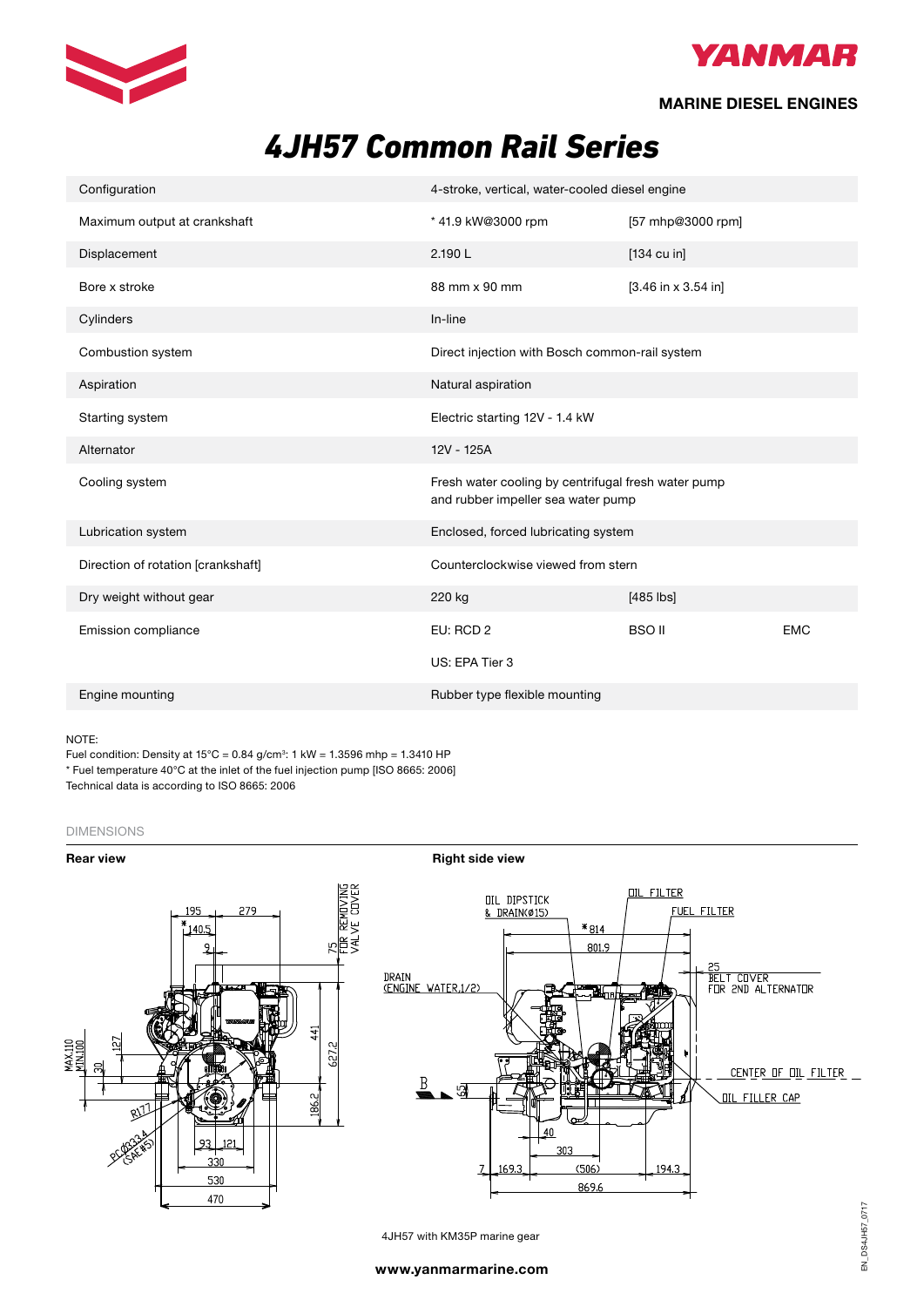



### **MARINE DIESEL ENGINES**

# *4JH57 Common Rail Series*

| Configuration                      | 4-stroke, vertical, water-cooled diesel engine                                            |                       |            |  |  |  |
|------------------------------------|-------------------------------------------------------------------------------------------|-----------------------|------------|--|--|--|
| Maximum output at crankshaft       | * 41.9 kW@3000 rpm                                                                        | [57 mhp@3000 rpm]     |            |  |  |  |
| Displacement                       | 2.190L                                                                                    | $[134 \text{ cu in}]$ |            |  |  |  |
| Bore x stroke                      | 88 mm x 90 mm                                                                             | $[3.46$ in x 3.54 in] |            |  |  |  |
| Cylinders                          | In-line                                                                                   |                       |            |  |  |  |
| Combustion system                  | Direct injection with Bosch common-rail system                                            |                       |            |  |  |  |
| Aspiration                         | Natural aspiration                                                                        |                       |            |  |  |  |
| Starting system                    | Electric starting 12V - 1.4 kW                                                            |                       |            |  |  |  |
| Alternator                         | 12V - 125A                                                                                |                       |            |  |  |  |
| Cooling system                     | Fresh water cooling by centrifugal fresh water pump<br>and rubber impeller sea water pump |                       |            |  |  |  |
| Lubrication system                 | Enclosed, forced lubricating system                                                       |                       |            |  |  |  |
| Direction of rotation [crankshaft] | Counterclockwise viewed from stern                                                        |                       |            |  |  |  |
| Dry weight without gear            | 220 kg                                                                                    | $[485$ $ bs]$         |            |  |  |  |
| Emission compliance                | EU: RCD 2                                                                                 | <b>BSO II</b>         | <b>EMC</b> |  |  |  |
|                                    | US: EPA Tier 3                                                                            |                       |            |  |  |  |
| Engine mounting                    | Rubber type flexible mounting                                                             |                       |            |  |  |  |

#### NOTE:

Fuel condition: Density at  $15^{\circ}$ C = 0.84 g/cm<sup>3</sup>: 1 kW = 1.3596 mhp = 1.3410 HP \* Fuel temperature 40°C at the inlet of the fuel injection pump [ISO 8665: 2006]

Technical data is according to ISO 8665: 2006

### DIMENSIONS



4JH57 with KM35P marine gear